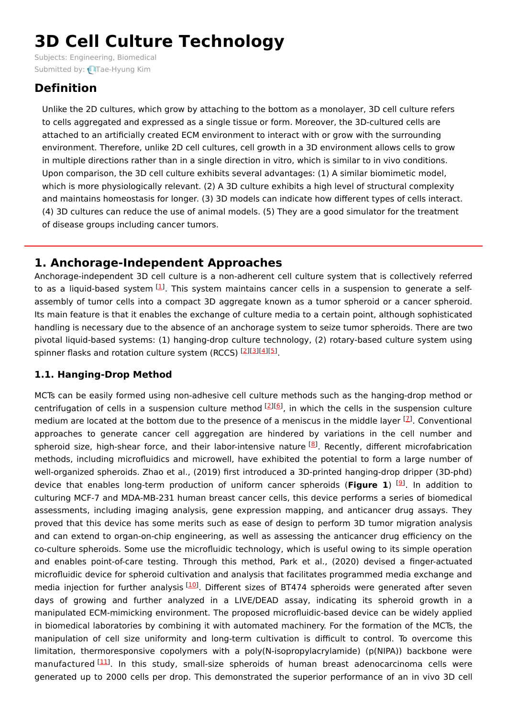# **3D Cell Culture Technology**

Subjects: [Engineering,](https://encyclopedia.pub/item/subject/82) Biomedical Submitted by: Trae-Hyung Kim

# **Definition**

Unlike the 2D cultures, which grow by attaching to the bottom as a monolayer, 3D cell culture refers to cells aggregated and expressed as a single tissue or form. Moreover, the 3D-cultured cells are attached to an artificially created ECM environment to interact with or grow with the surrounding environment. Therefore, unlike 2D cell cultures, cell growth in a 3D environment allows cells to grow in multiple directions rather than in a single direction in vitro, which is similar to in vivo conditions. Upon comparison, the 3D cell culture exhibits several advantages: (1) A similar biomimetic model, which is more physiologically relevant. (2) A 3D culture exhibits a high level of structural complexity and maintains homeostasis for longer. (3) 3D models can indicate how different types of cells interact. (4) 3D cultures can reduce the use of animal models. (5) They are a good simulator for the treatment of disease groups including cancer tumors.

## **1. Anchorage-Independent Approaches**

Anchorage-independent 3D cell culture is a non-adherent cell culture system that is collectively referred to as a liquid-based system [\[1](#page-3-0)]. This system maintains cancer cells in a suspension to generate a selfassembly of tumor cells into a compact 3D aggregate known as a tumor spheroid or a cancer spheroid. Its main feature is that it enables the exchange of culture media to a certain point, although sophisticated handling is necessary due to the absence of an anchorage system to seize tumor spheroids. There are two pivotal liquid-based systems: (1) hanging-drop culture technology, (2) rotary-based culture system using spinner flasks and rotation culture system (RCCS) [\[2](#page-3-1)][[3](#page-3-2)][[4](#page-3-3)][\[5](#page-3-4)].

## **1.1. Hanging-Drop Method**

MCTs can be easily formed using non-adhesive cell culture methods such as the hanging-drop method or centrifugation of cells in a suspension culture method [[2](#page-3-1)][\[6](#page-3-5)], in which the cells in the suspension culture medium are located at the bottom due to the presence of a meniscus in the middle layer  $^{[Z]}$ . Conventional approaches to generate cancer cell aggregation are hindered by variations in the cell number and spheroid size, high-shear force, and their labor-intensive nature <sup>[\[8](#page-3-7)]</sup>. Recently, different microfabrication methods, including microfluidics and microwell, have exhibited the potential to form a large number of well-organized spheroids. Zhao et al., (2019) first introduced a 3D-printed hanging-drop dripper (3D-phd) device that enables long-term production of uniform cancer spheroids (Figure 1) <sup>[\[9](#page-3-8)]</sup>. In addition to culturing MCF-7 and MDA-MB-231 human breast cancer cells, this device performs a series of biomedical assessments, including imaging analysis, gene expression mapping, and anticancer drug assays. They proved that this device has some merits such as ease of design to perform 3D tumor migration analysis and can extend to organ-on-chip engineering, as well as assessing the anticancer drug efficiency on the co-culture spheroids. Some use the microfluidic technology, which is useful owing to its simple operation and enables point-of-care testing. Through this method, Park et al., (2020) devised a finger-actuated microfluidic device for spheroid cultivation and analysis that facilitates programmed media exchange and media injection for further analysis [\[10](#page-3-9)]. Different sizes of BT474 spheroids were generated after seven days of growing and further analyzed in a LIVE/DEAD assay, indicating its spheroid growth in a manipulated ECM-mimicking environment. The proposed microfluidic-based device can be widely applied in biomedical laboratories by combining it with automated machinery. For the formation of the MCTs, the manipulation of cell size uniformity and long-term cultivation is difficult to control. To overcome this limitation, thermoresponsive copolymers with a poly(N-isopropylacrylamide) (p(NIPA)) backbone were manufactured [\[11](#page-3-10)]. In this study, small-size spheroids of human breast adenocarcinoma cells were generated up to 2000 cells per drop. This demonstrated the superior performance of an in vivo 3D cell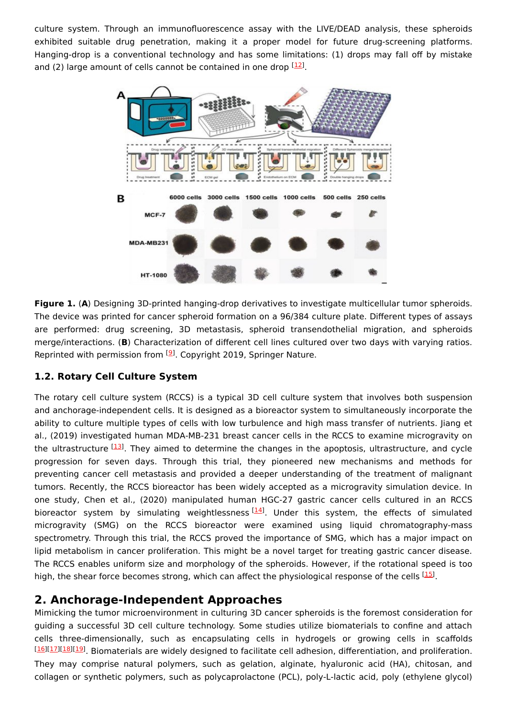culture system. Through an immunofluorescence assay with the LIVE/DEAD analysis, these spheroids exhibited suitable drug penetration, making it a proper model for future drug-screening platforms. Hanging-drop is a conventional technology and has some limitations: (1) drops may fall off by mistake and (2) large amount of cells cannot be contained in one drop  $[12]$  $[12]$ .



**Figure 1.** (**A**) Designing 3D-printed hanging-drop derivatives to investigate multicellular tumor spheroids. The device was printed for cancer spheroid formation on a 96/384 culture plate. Different types of assays are performed: drug screening, 3D metastasis, spheroid transendothelial migration, and spheroids merge/interactions. (**B**) Characterization of different cell lines cultured over two days with varying ratios. Reprinted with permission from <sup>[\[9](#page-3-8)]</sup>. Copyright 2019, Springer Nature.

#### **1.2. Rotary Cell Culture System**

The rotary cell culture system (RCCS) is a typical 3D cell culture system that involves both suspension and anchorage-independent cells. It is designed as a bioreactor system to simultaneously incorporate the ability to culture multiple types of cells with low turbulence and high mass transfer of nutrients. Jiang et al., (2019) investigated human MDA-MB-231 breast cancer cells in the RCCS to examine microgravity on the ultrastructure [[13](#page-3-12)]. They aimed to determine the changes in the apoptosis, ultrastructure, and cycle progression for seven days. Through this trial, they pioneered new mechanisms and methods for preventing cancer cell metastasis and provided a deeper understanding of the treatment of malignant tumors. Recently, the RCCS bioreactor has been widely accepted as a microgravity simulation device. In one study, Chen et al., (2020) manipulated human HGC-27 gastric cancer cells cultured in an RCCS bioreactor system by simulating weightlessness<sup>[\[14\]](#page-3-13)</sup>. Under this system, the effects of simulated microgravity (SMG) on the RCCS bioreactor were examined using liquid chromatography-mass spectrometry. Through this trial, the RCCS proved the importance of SMG, which has a major impact on lipid metabolism in cancer proliferation. This might be a novel target for treating gastric cancer disease. The RCCS enables uniform size and morphology of the spheroids. However, if the rotational speed is too high, the shear force becomes strong, which can affect the physiological response of the cells  $^{[15]}$  $^{[15]}$  $^{[15]}$ .

## **2. Anchorage-Independent Approaches**

Mimicking the tumor microenvironment in culturing 3D cancer spheroids is the foremost consideration for guiding a successful 3D cell culture technology. Some studies utilize biomaterials to confine and attach cells three-dimensionally, such as encapsulating cells in hydrogels or growing cells in scaffolds [[16](#page-3-15)][\[17\]](#page-4-0)[[18](#page-4-1)][\[19\]](#page-4-2). Biomaterials are widely designed to facilitate cell adhesion, differentiation, and proliferation. They may comprise natural polymers, such as gelation, alginate, hyaluronic acid (HA), chitosan, and collagen or synthetic polymers, such as polycaprolactone (PCL), poly-L-lactic acid, poly (ethylene glycol)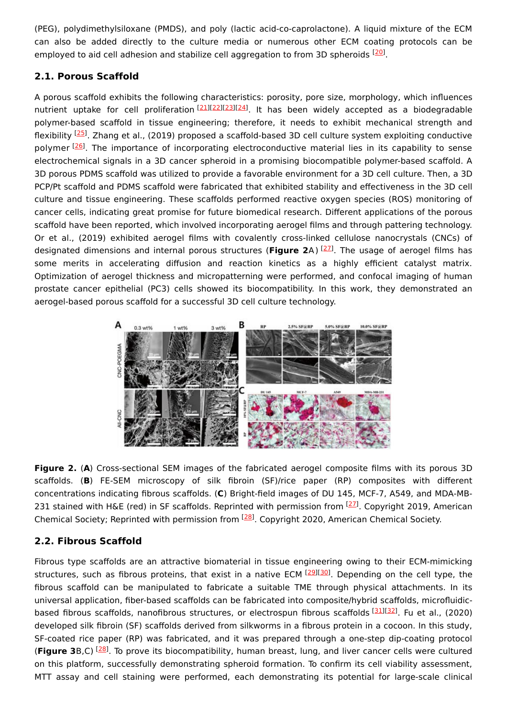(PEG), polydimethylsiloxane (PMDS), and poly (lactic acid-co-caprolactone). A liquid mixture of the ECM can also be added directly to the culture media or numerous other ECM coating protocols can be employed to aid cell adhesion and stabilize cell aggregation to from 3D spheroids <sup>[\[20](#page-4-3)]</sup>.

#### **2.1. Porous Scaffold**

A porous scaffold exhibits the following characteristics: porosity, pore size, morphology, which influences nutrient uptake for cell proliferation<sup>[\[21](#page-4-4)][\[22](#page-4-5)][\[23](#page-4-6)][\[24](#page-4-7)]</sup>. It has been widely accepted as a biodegradable polymer-based scaffold in tissue engineering; therefore, it needs to exhibit mechanical strength and flexibility <sup>[\[25](#page-4-8)]</sup>. Zhang et al., (2019) proposed a scaffold-based 3D cell culture system exploiting conductive polymer <sup>[[26\]](#page-4-9)</sup>. The importance of incorporating electroconductive material lies in its capability to sense electrochemical signals in a 3D cancer spheroid in a promising biocompatible polymer-based scaffold. A 3D porous PDMS scaffold was utilized to provide a favorable environment for a 3D cell culture. Then, a 3D PCP/Pt scaffold and PDMS scaffold were fabricated that exhibited stability and effectiveness in the 3D cell culture and tissue engineering. These scaffolds performed reactive oxygen species (ROS) monitoring of cancer cells, indicating great promise for future biomedical research. Different applications of the porous scaffold have been reported, which involved incorporating aerogel films and through pattering technology. Or et al., (2019) exhibited aerogel films with covalently cross-linked cellulose nanocrystals (CNCs) of designated dimensions and internal porous structures (Figure 2A) <sup>[[27](#page-4-10)]</sup>. The usage of aerogel films has some merits in accelerating diffusion and reaction kinetics as a highly efficient catalyst matrix. Optimization of aerogel thickness and micropatterning were performed, and confocal imaging of human prostate cancer epithelial (PC3) cells showed its biocompatibility. In this work, they demonstrated an aerogel-based porous scaffold for a successful 3D cell culture technology.



**Figure 2.** (**A**) Cross-sectional SEM images of the fabricated aerogel composite films with its porous 3D scaffolds. (**B**) FE-SEM microscopy of silk fibroin (SF)/rice paper (RP) composites with different concentrations indicating fibrous scaffolds. (**C**) Bright-field images of DU 145, MCF-7, A549, and MDA-MB-231 stained with H&E (red) in SF scaffolds. Reprinted with permission from <sup>[[27](#page-4-10)]</sup>. Copyright 2019, American Chemical Society; Reprinted with permission from <sup>[\[28\]](#page-4-11)</sup>. Copyright 2020, American Chemical Society.

## **2.2. Fibrous Scaffold**

Fibrous type scaffolds are an attractive biomaterial in tissue engineering owing to their ECM-mimicking structures, such as fibrous proteins, that exist in a native ECM [[29\]](#page-4-12)[[30\]](#page-4-13). Depending on the cell type, the fibrous scaffold can be manipulated to fabricate a suitable TME through physical attachments. In its universal application, fiber-based scaffolds can be fabricated into composite/hybrid scaffolds, microfluidic-based fibrous scaffolds, nanofibrous structures, or electrospun fibrous scaffolds [[31](#page-4-14)][\[32\]](#page-4-15). Fu et al., (2020) developed silk fibroin (SF) scaffolds derived from silkworms in a fibrous protein in a cocoon. In this study, SF-coated rice paper (RP) was fabricated, and it was prepared through a one-step dip-coating protocol (Figure 3B,C) <sup>[[28](#page-4-11)]</sup>. To prove its biocompatibility, human breast, lung, and liver cancer cells were cultured on this platform, successfully demonstrating spheroid formation. To confirm its cell viability assessment, MTT assay and cell staining were performed, each demonstrating its potential for large-scale clinical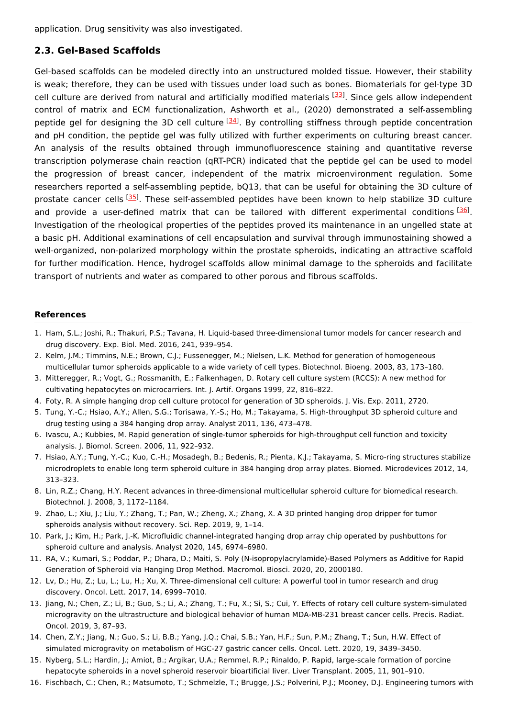application. Drug sensitivity was also investigated.

#### **2.3. Gel-Based Scaffolds**

Gel-based scaffolds can be modeled directly into an unstructured molded tissue. However, their stability is weak; therefore, they can be used with tissues under load such as bones. Biomaterials for gel-type 3D cell culture are derived from natural and artificially modified materials [\[33](#page-4-16)]. Since gels allow independent control of matrix and ECM functionalization, Ashworth et al., (2020) demonstrated a self-assembling peptide gel for designing the 3D cell culture <sup>[\[34\]](#page-4-17)</sup>. By controlling stiffness through peptide concentration and pH condition, the peptide gel was fully utilized with further experiments on culturing breast cancer. An analysis of the results obtained through immunofluorescence staining and quantitative reverse transcription polymerase chain reaction (qRT-PCR) indicated that the peptide gel can be used to model the progression of breast cancer, independent of the matrix microenvironment regulation. Some researchers reported a self-assembling peptide, bQ13, that can be useful for obtaining the 3D culture of prostate cancer cells <a>[[35\]](#page-4-18)</a>. These self-assembled peptides have been known to help stabilize 3D culture and provide a user-defined matrix that can be tailored with different experimental conditions [\[36](#page-4-19)]. Investigation of the rheological properties of the peptides proved its maintenance in an ungelled state at a basic pH. Additional examinations of cell encapsulation and survival through immunostaining showed a well-organized, non-polarized morphology within the prostate spheroids, indicating an attractive scaffold for further modification. Hence, hydrogel scaffolds allow minimal damage to the spheroids and facilitate transport of nutrients and water as compared to other porous and fibrous scaffolds.

#### **References**

- <span id="page-3-0"></span>1. Ham, S.L.; Joshi, R.; Thakuri, P.S.; Tavana, H. Liquid-based three-dimensional tumor models for cancer research and drug discovery. Exp. Biol. Med. 2016, 241, 939–954.
- <span id="page-3-1"></span>2. Kelm, J.M.; Timmins, N.E.; Brown, C.J.; Fussenegger, M.; Nielsen, L.K. Method for generation of homogeneous multicellular tumor spheroids applicable to a wide variety of cell types. Biotechnol. Bioeng. 2003, 83, 173–180.
- <span id="page-3-2"></span>3. Mitteregger, R.; Vogt, G.; Rossmanith, E.; Falkenhagen, D. Rotary cell culture system (RCCS): A new method for cultivating hepatocytes on microcarriers. Int. J. Artif. Organs 1999, 22, 816–822.
- <span id="page-3-3"></span>4. Foty, R. A simple hanging drop cell culture protocol for generation of 3D spheroids. J. Vis. Exp. 2011, 2720.
- <span id="page-3-4"></span>5. Tung, Y.-C.; Hsiao, A.Y.; Allen, S.G.; Torisawa, Y.-S.; Ho, M.; Takayama, S. High-throughput 3D spheroid culture and drug testing using a 384 hanging drop array. Analyst 2011, 136, 473–478.
- <span id="page-3-5"></span>6. Ivascu, A.; Kubbies, M. Rapid generation of single-tumor spheroids for high-throughput cell function and toxicity analysis. J. Biomol. Screen. 2006, 11, 922–932.
- <span id="page-3-6"></span>7. Hsiao, A.Y.; Tung, Y.-C.; Kuo, C.-H.; Mosadegh, B.; Bedenis, R.; Pienta, K.J.; Takayama, S. Micro-ring structures stabilize microdroplets to enable long term spheroid culture in 384 hanging drop array plates. Biomed. Microdevices 2012, 14, 313–323.
- <span id="page-3-7"></span>8. Lin, R.Z.; Chang, H.Y. Recent advances in three-dimensional multicellular spheroid culture for biomedical research. Biotechnol. J. 2008, 3, 1172–1184.
- <span id="page-3-8"></span>9. Zhao, L.; Xiu, J.; Liu, Y.; Zhang, T.; Pan, W.; Zheng, X.; Zhang, X. A 3D printed hanging drop dripper for tumor spheroids analysis without recovery. Sci. Rep. 2019, 9, 1–14.
- <span id="page-3-9"></span>10. Park, J.; Kim, H.; Park, J.-K. Microfluidic channel-integrated hanging drop array chip operated by pushbuttons for spheroid culture and analysis. Analyst 2020, 145, 6974–6980.
- <span id="page-3-10"></span>11. RA, V.; Kumari, S.; Poddar, P.; Dhara, D.; Maiti, S. Poly (N-isopropylacrylamide)-Based Polymers as Additive for Rapid Generation of Spheroid via Hanging Drop Method. Macromol. Biosci. 2020, 20, 2000180.
- <span id="page-3-11"></span>12. Lv, D.; Hu, Z.; Lu, L.; Lu, H.; Xu, X. Three-dimensional cell culture: A powerful tool in tumor research and drug discovery. Oncol. Lett. 2017, 14, 6999–7010.
- <span id="page-3-12"></span>13. Jiang, N.; Chen, Z.; Li, B.; Guo, S.; Li, A.; Zhang, T.; Fu, X.; Si, S.; Cui, Y. Effects of rotary cell culture system-simulated microgravity on the ultrastructure and biological behavior of human MDA-MB-231 breast cancer cells. Precis. Radiat. Oncol. 2019, 3, 87–93.
- <span id="page-3-13"></span>14. Chen, Z.Y.; Jiang, N.; Guo, S.; Li, B.B.; Yang, J.Q.; Chai, S.B.; Yan, H.F.; Sun, P.M.; Zhang, T.; Sun, H.W. Effect of simulated microgravity on metabolism of HGC-27 gastric cancer cells. Oncol. Lett. 2020, 19, 3439–3450.
- <span id="page-3-14"></span>15. Nyberg, S.L.; Hardin, J.; Amiot, B.; Argikar, U.A.; Remmel, R.P.; Rinaldo, P. Rapid, large-scale formation of porcine hepatocyte spheroids in a novel spheroid reservoir bioartificial liver. Liver Transplant. 2005, 11, 901–910.
- <span id="page-3-15"></span>16. Fischbach, C.; Chen, R.; Matsumoto, T.; Schmelzle, T.; Brugge, J.S.; Polverini, P.J.; Mooney, D.J. Engineering tumors with